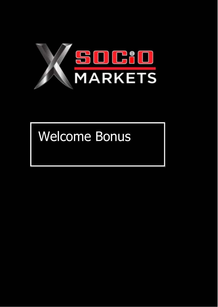

# Welcome Bonus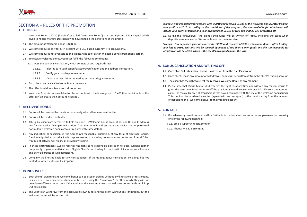\_\_\_\_\_\_\_\_\_\_\_\_\_\_\_\_\_\_\_\_\_\_\_\_\_\_\_\_\_\_\_\_\_\_\_\_\_\_\_\_\_\_\_\_\_\_\_\_\_\_\_\_\_\_\_\_\_\_\_\_\_\_\_\_\_\_\_\_\_\_\_\_\_\_\_\_\_\_\_\_\_\_ \_\_\_\_\_\_\_\_\_\_\_\_\_\_\_\_\_\_\_\_\_\_\_\_\_\_\_\_\_\_\_\_\_\_\_\_\_\_\_\_\_\_\_\_\_\_\_\_\_\_\_\_\_\_\_\_\_\_\_\_\_\_\_\_\_\_\_\_\_\_\_\_\_\_\_\_\_\_\_\_\_

# SECTION A – RULES OF THE PROMOTION

# **1. GENERAL**

- 1.1. Welcome Bonus USD 30 (hereinafter called "Welcome Bonus") is a special promo initial capital which given to XSocio Markets Ltd clients who have fulfilled the conditions of the promo.
- 1.2. The amount of Welcome Bonus is USD 30.
- 1.3. Welcome Bonus is only for MT4 account with USD based currency: Pro account only.
- 1.4. Welcome Bonus is not available to the clients, who took part in Welcome Bonus promotions earlier.
- 1.5. To receive Welcome Bonus, you must fulfill the following conditions:
	- 1.5.1. Pass the personal verification, which consists of two required steps:
		- 1.5.1.1. Identity card verification/passport verification and the address verification.
		- 1.5.1.2. Verify your mobile phone number.
		- 1.5.1.3. Deposit at least 10 to the trading account using any method.
- 1.6. Each client can receive Welcome Bonus only once.
- 1.7. The offer is valid for clients from all countries.
- 1.8. Welcome Bonus is only available for the accounts with the leverage up to 1:400 (the participants of the offer can't increase their account leverage).

#### **2. RECEIVING BONUS**

- 2.1. Bonus will be received by clients automatically when all requirement fulfilled.
- 2.2. Bonus will be credited instantly.
- 2.3. All eligible clients are permitted to hold only one (1) Welcome Bonus account per one Unique IP address and for one device. Multiple registrations from the same IP address and same device are not permitted nor multiple welcome bonus account register with same details.
- 2.4. Any indication or suspicion, in the Company's reasonable discretion, of any form of arbitrage, abuse, fraud, manipulation, cash-back arbitrage connected to a trading bonus or any other forms of deceitful or fraudulent activity, will nullify all previously trading.
- 2.5. In these circumstances, XSocio reserves the right at its reasonable discretion to close/suspend (either temporarily or permanently) all such Eligible Client's real trading Accounts with XSocio, cancel all orders and deny all profits of such participant.
- 2.6. Company shall not be liable for any consequences of the trading bonus cancelation, including, but not limited to, order(s) closure by Stop Out.

# **3. BONUS WORKS**

- 3.1. Both clients' own fund and welcome bonus can be used in trading without any limitations or restrictions. In such a case, welcome bonus funds can be used during the "drawdown". In other words, they will not be written off from the account if the equity on the account is less than welcome bonus funds until Stop Out takes place.
- 3.2. The Client can withdraw from the account his own funds and the profit without any limitations, but the welcome bonus will be written off.

*Example: You deposited your account with USD10 and received USD30 as the Welcome Bonus. After trading, your profit is USD10. According to the conditions of the program, the sum available for withdrawal will include your profit of USD10 and your own funds of USD10 as well and USD 30 will be written off.*

3.3. During the "drawdown", the client's own funds will be written off firstly, including the cases when deposits were made after Welcome Bonus had been received.

*Example: You deposited your account with USD10 and received USD30 as Welcome Bonus. After trading, your loss is USD5. This loss will be covered by means of the client's own funds and the sum available for withdrawal will be USD5, which is the client's own funds minus the loss.*

#### **4. BONUS CANCELATION AND WRITING OFF**

- 4.1. Once Stop Out takes place, bonus is written off from the client's account.
- 4.2. Once clients make any amount of withdrawal, bonus will be written off from the client's trading account.
- 4.3. The client has the right to reject the received Welcome Bonus at any moment.
- 4.4. Please note that XSocio Markets Ltd reserves the right to, at any time and without any reason, refuse to grant the Welcome Bonus or write off the previously issued Welcome Bonus 30 USD from the account, as well as revoke (cancel) all transactions that have been made with the use of the welcome bonus funds. This condition is considered accepted (agreed with and accepted) by the client starting from the moment of depositing the "Welcome Bonus" to their trading account.

# **5. CONTACT**

- 5.1. If you have any questions or would like further information about welcome bonus, please contact us using one of the following channels:
	- 5.1.1. Email: support@xsocio.com; or
	- 5.1.2. Phone: +44 20 3289 4388.